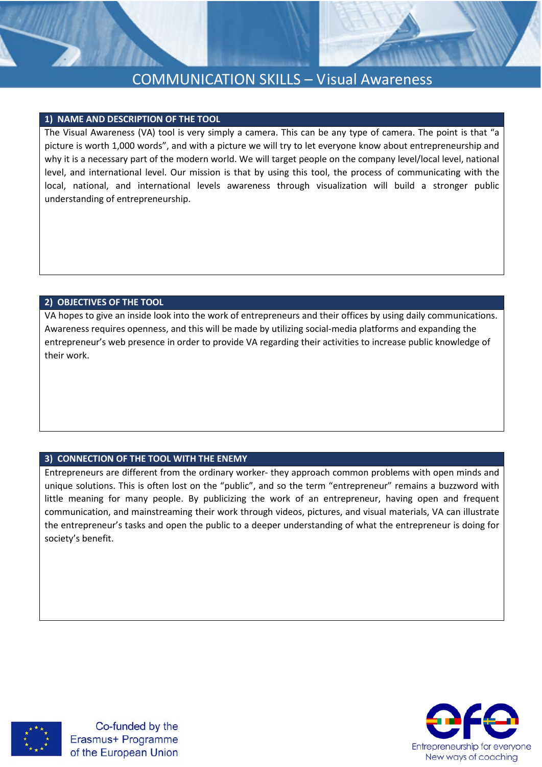

#### **1) NAME AND DESCRIPTION OF THE TOOL**

The Visual Awareness (VA) tool is very simply a camera. This can be any type of camera. The point is that "a picture is worth 1,000 words", and with a picture we will try to let everyone know about entrepreneurship and why it is a necessary part of the modern world. We will target people on the company level/local level, national level, and international level. Our mission is that by using this tool, the process of communicating with the local, national, and international levels awareness through visualization will build a stronger public understanding of entrepreneurship.

#### **2) OBJECTIVES OF THE TOOL**

VA hopes to give an inside look into the work of entrepreneurs and their offices by using daily communications. Awareness requires openness, and this will be made by utilizing social-media platforms and expanding the entrepreneur's web presence in order to provide VA regarding their activities to increase public knowledge of their work.

#### **3) CONNECTION OF THE TOOL WITH THE ENEMY**

Entrepreneurs are different from the ordinary worker- they approach common problems with open minds and unique solutions. This is often lost on the "public", and so the term "entrepreneur" remains a buzzword with little meaning for many people. By publicizing the work of an entrepreneur, having open and frequent communication, and mainstreaming their work through videos, pictures, and visual materials, VA can illustrate the entrepreneur's tasks and open the public to a deeper understanding of what the entrepreneur is doing for society's benefit.



Co-funded by the Erasmus+ Programme of the European Union

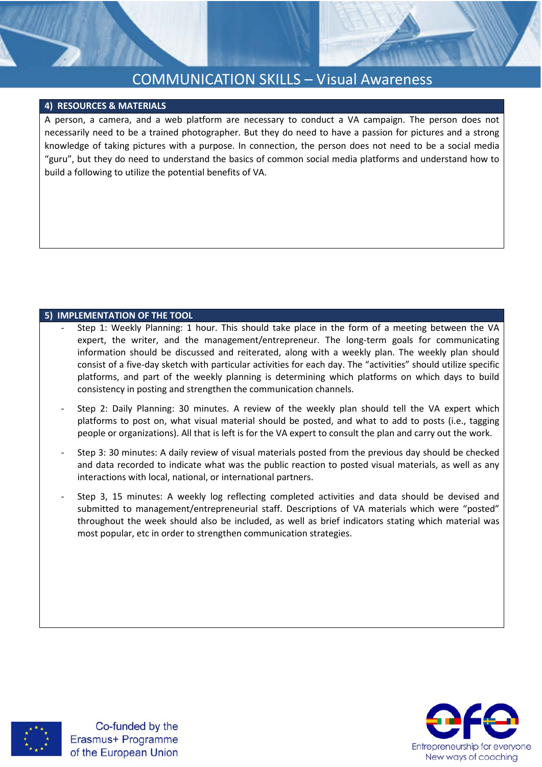# COMMUNICATION SKILLS – Visual Awareness

#### **4) RESOURCES & MATERIALS**

A person, a camera, and a web platform are necessary to conduct a VA campaign. The person does not necessarily need to be a trained photographer. But they do need to have a passion for pictures and a strong knowledge of taking pictures with a purpose. In connection, the person does not need to be a social media "guru", but they do need to understand the basics of common social media platforms and understand how to build a following to utilize the potential benefits of VA.

#### **5) IMPLEMENTATION OF THE TOOL**

- Step 1: Weekly Planning: 1 hour. This should take place in the form of a meeting between the VA expert, the writer, and the management/entrepreneur. The long-term goals for communicating information should be discussed and reiterated, along with a weekly plan. The weekly plan should consist of a five-day sketch with particular activities for each day. The "activities" should utilize specific platforms, and part of the weekly planning is determining which platforms on which days to build consistency in posting and strengthen the communication channels.
- Step 2: Daily Planning: 30 minutes. A review of the weekly plan should tell the VA expert which platforms to post on, what visual material should be posted, and what to add to posts (i.e., tagging people or organizations). All that is left is for the VA expert to consult the plan and carry out the work.
- Step 3: 30 minutes: A daily review of visual materials posted from the previous day should be checked and data recorded to indicate what was the public reaction to posted visual materials, as well as any interactions with local, national, or international partners.
- Step 3, 15 minutes: A weekly log reflecting completed activities and data should be devised and submitted to management/entrepreneurial staff. Descriptions of VA materials which were "posted" throughout the week should also be included, as well as brief indicators stating which material was most popular, etc in order to strengthen communication strategies.



Co-funded by the Erasmus+ Programme of the European Union